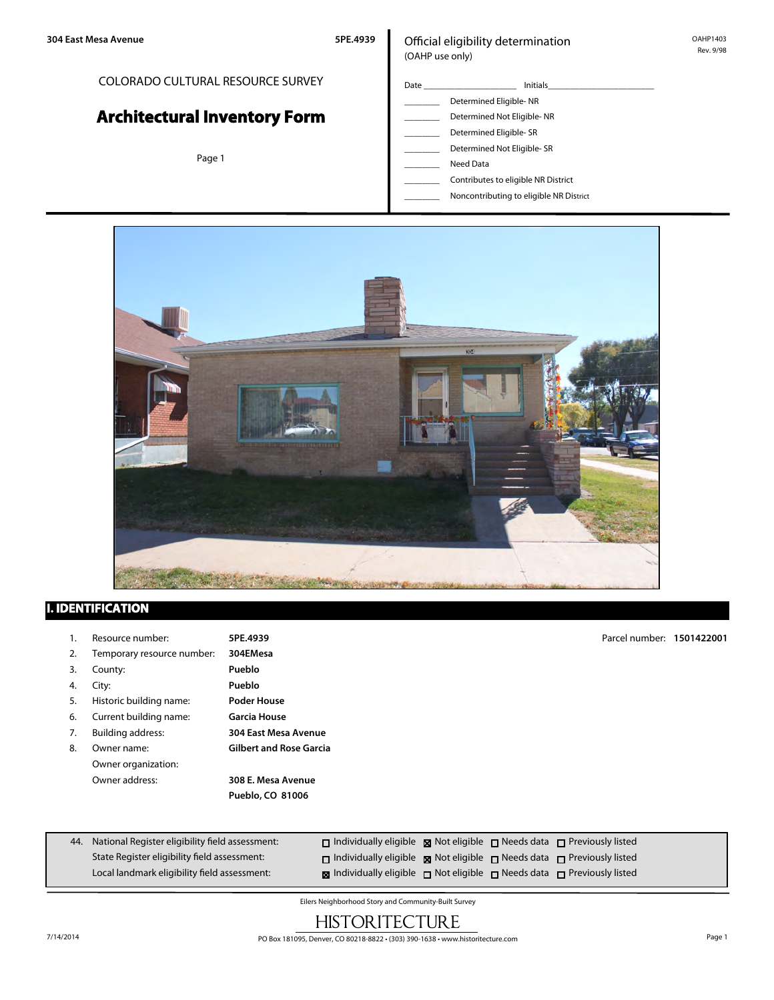## COLORADO CULTURAL RESOURCE SURVEY

# **Architectural Inventory Form**

Page 1

### Official eligibility determination (OAHP use only)

- Date \_\_\_\_\_\_\_\_\_\_\_\_\_\_\_\_\_\_\_\_\_ Initials\_\_\_\_\_\_\_\_\_\_\_\_\_\_\_\_\_\_\_\_\_\_\_\_ \_\_\_\_\_\_\_\_ Determined Eligible- NR Determined Not Eligible- NR Determined Eligible- SR Determined Not Eligible- SR \_\_\_\_\_\_\_\_ Need Data
	- \_\_\_\_\_\_\_\_ Contributes to eligible NR District
	- \_\_\_\_\_\_\_\_ Noncontributing to eligible NR District



## **I. IDENTIFICATION**

| -1. | Resource number:           | 5PE.4939                       | Parcel number: 1501422001 |  |
|-----|----------------------------|--------------------------------|---------------------------|--|
| 2.  | Temporary resource number: | 304EMesa                       |                           |  |
| 3.  | County:                    | Pueblo                         |                           |  |
| 4.  | City:                      | Pueblo                         |                           |  |
| 5.  | Historic building name:    | <b>Poder House</b>             |                           |  |
| 6.  | Current building name:     | <b>Garcia House</b>            |                           |  |
| 7.  | <b>Building address:</b>   | 304 East Mesa Avenue           |                           |  |
| 8.  | Owner name:                | <b>Gilbert and Rose Garcia</b> |                           |  |
|     | Owner organization:        |                                |                           |  |
|     | Owner address:             | 308 E. Mesa Avenue             |                           |  |
|     |                            | Pueblo, CO 81006               |                           |  |

| 44. National Register eligibility field assessment: | $\Box$ Individually eligible $\boxtimes$ Not eligible $\Box$ Needs data $\Box$ Previously listed |  |  |
|-----------------------------------------------------|--------------------------------------------------------------------------------------------------|--|--|
| State Register eligibility field assessment:        | $\Box$ Individually eligible $\boxtimes$ Not eligible $\Box$ Needs data $\Box$ Previously listed |  |  |
| Local landmark eligibility field assessment:        | <b>x</b> Individually eligible $\Box$ Not eligible $\Box$ Needs data $\Box$ Previously listed    |  |  |

Eilers Neighborhood Story and Community-Built Survey

# **HISTORITECTURE**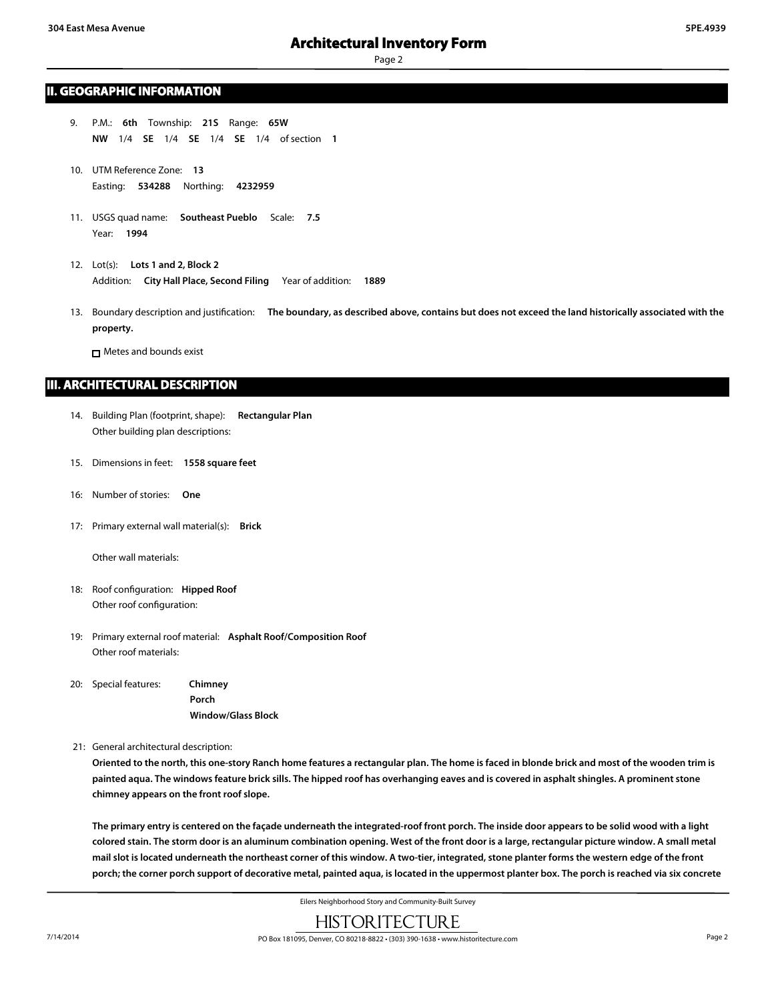#### **II. GEOGRAPHIC INFORMATION**

- 9. P.M.: **6th** Township: **21S** Range: **65W NW** 1/4 **SE** 1/4 **SE** 1/4 **SE** 1/4 of section **1**
- 10. UTM Reference Zone: **13** Easting: **534288** Northing: **4232959**
- 11. USGS quad name: **Southeast Pueblo** Scale: **7.5** Year: **1994**
- 12. Lot(s): **Lots 1 and 2, Block 2** Addition: **City Hall Place, Second Filing** Year of addition: **1889**
- 13. Boundary description and justification: **The boundary, as described above, contains but does not exceed the land historically associated with the property.**

Metes and bounds exist

#### **III. ARCHITECTURAL DESCRIPTION**

- 14. Building Plan (footprint, shape): **Rectangular Plan** Other building plan descriptions:
- 15. Dimensions in feet: **1558 square feet**
- 16: Number of stories: **One**
- 17: Primary external wall material(s): **Brick**

Other wall materials:

- 18: Roof configuration: **Hipped Roof** Other roof configuration:
- 19: Primary external roof material: **Asphalt Roof/Composition Roof** Other roof materials:
- 20: Special features: **Chimney Porch Window/Glass Block**

21: General architectural description:

**Oriented to the north, this one-story Ranch home features a rectangular plan. The home is faced in blonde brick and most of the wooden trim is painted aqua. The windows feature brick sills. The hipped roof has overhanging eaves and is covered in asphalt shingles. A prominent stone chimney appears on the front roof slope.**

**The primary entry is centered on the façade underneath the integrated-roof front porch. The inside door appears to be solid wood with a light colored stain. The storm door is an aluminum combination opening. West of the front door is a large, rectangular picture window. A small metal mail slot is located underneath the northeast corner of this window. A two-tier, integrated, stone planter forms the western edge of the front porch; the corner porch support of decorative metal, painted aqua, is located in the uppermost planter box. The porch is reached via six concrete**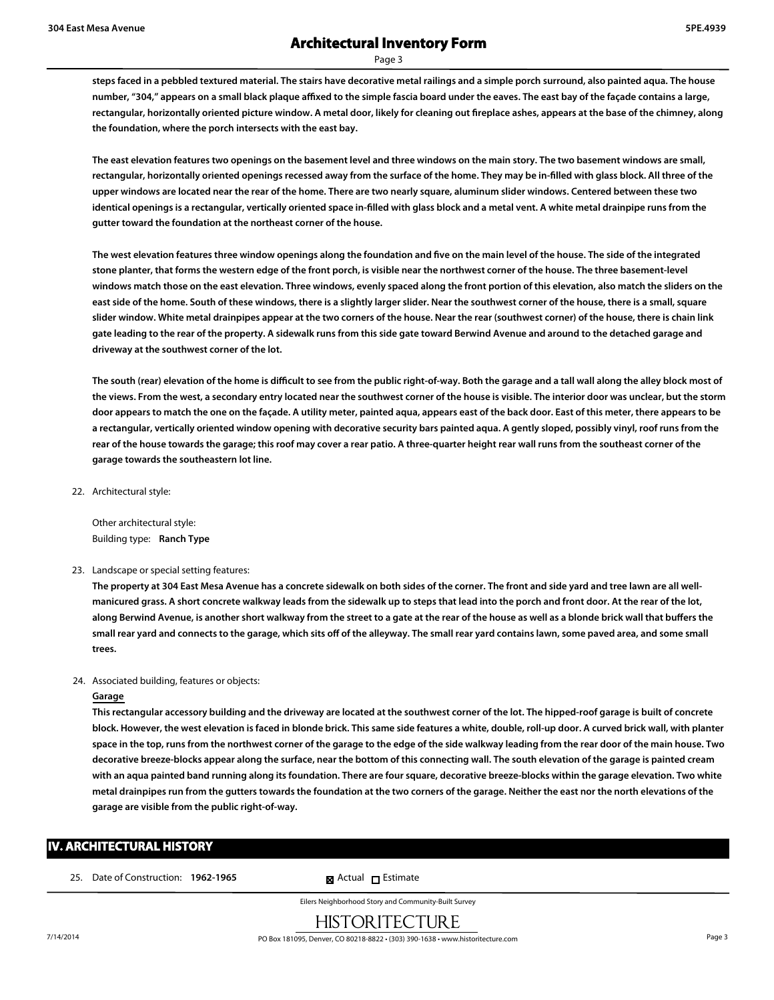**steps faced in a pebbled textured material. The stairs have decorative metal railings and a simple porch surround, also painted aqua. The house number, "304," appears on a small black plaque affixed to the simple fascia board under the eaves. The east bay of the façade contains a large, rectangular, horizontally oriented picture window. A metal door, likely for cleaning out fireplace ashes, appears at the base of the chimney, along the foundation, where the porch intersects with the east bay.**

**The east elevation features two openings on the basement level and three windows on the main story. The two basement windows are small, rectangular, horizontally oriented openings recessed away from the surface of the home. They may be in-filled with glass block. All three of the upper windows are located near the rear of the home. There are two nearly square, aluminum slider windows. Centered between these two identical openings is a rectangular, vertically oriented space in-filled with glass block and a metal vent. A white metal drainpipe runs from the gutter toward the foundation at the northeast corner of the house.**

**The west elevation features three window openings along the foundation and five on the main level of the house. The side of the integrated stone planter, that forms the western edge of the front porch, is visible near the northwest corner of the house. The three basement-level windows match those on the east elevation. Three windows, evenly spaced along the front portion of this elevation, also match the sliders on the east side of the home. South of these windows, there is a slightly larger slider. Near the southwest corner of the house, there is a small, square slider window. White metal drainpipes appear at the two corners of the house. Near the rear (southwest corner) of the house, there is chain link gate leading to the rear of the property. A sidewalk runs from this side gate toward Berwind Avenue and around to the detached garage and driveway at the southwest corner of the lot.**

**The south (rear) elevation of the home is difficult to see from the public right-of-way. Both the garage and a tall wall along the alley block most of the views. From the west, a secondary entry located near the southwest corner of the house is visible. The interior door was unclear, but the storm door appears to match the one on the façade. A utility meter, painted aqua, appears east of the back door. East of this meter, there appears to be a rectangular, vertically oriented window opening with decorative security bars painted aqua. A gently sloped, possibly vinyl, roof runs from the rear of the house towards the garage; this roof may cover a rear patio. A three-quarter height rear wall runs from the southeast corner of the garage towards the southeastern lot line.**

22. Architectural style:

Other architectural style: Building type: **Ranch Type**

23. Landscape or special setting features:

**The property at 304 East Mesa Avenue has a concrete sidewalk on both sides of the corner. The front and side yard and tree lawn are all wellmanicured grass. A short concrete walkway leads from the sidewalk up to steps that lead into the porch and front door. At the rear of the lot, along Berwind Avenue, is another short walkway from the street to a gate at the rear of the house as well as a blonde brick wall that buffers the small rear yard and connects to the garage, which sits off of the alleyway. The small rear yard contains lawn, some paved area, and some small trees.**

#### 24. Associated building, features or objects:

#### **Garage**

**This rectangular accessory building and the driveway are located at the southwest corner of the lot. The hipped-roof garage is built of concrete block. However, the west elevation is faced in blonde brick. This same side features a white, double, roll-up door. A curved brick wall, with planter space in the top, runs from the northwest corner of the garage to the edge of the side walkway leading from the rear door of the main house. Two decorative breeze-blocks appear along the surface, near the bottom of this connecting wall. The south elevation of the garage is painted cream with an aqua painted band running along its foundation. There are four square, decorative breeze-blocks within the garage elevation. Two white metal drainpipes run from the gutters towards the foundation at the two corners of the garage. Neither the east nor the north elevations of the garage are visible from the public right-of-way.**

## **IV. ARCHITECTURAL HISTORY**

25. Date of Construction: **1962-1965** Maximum **External Extending Extimate**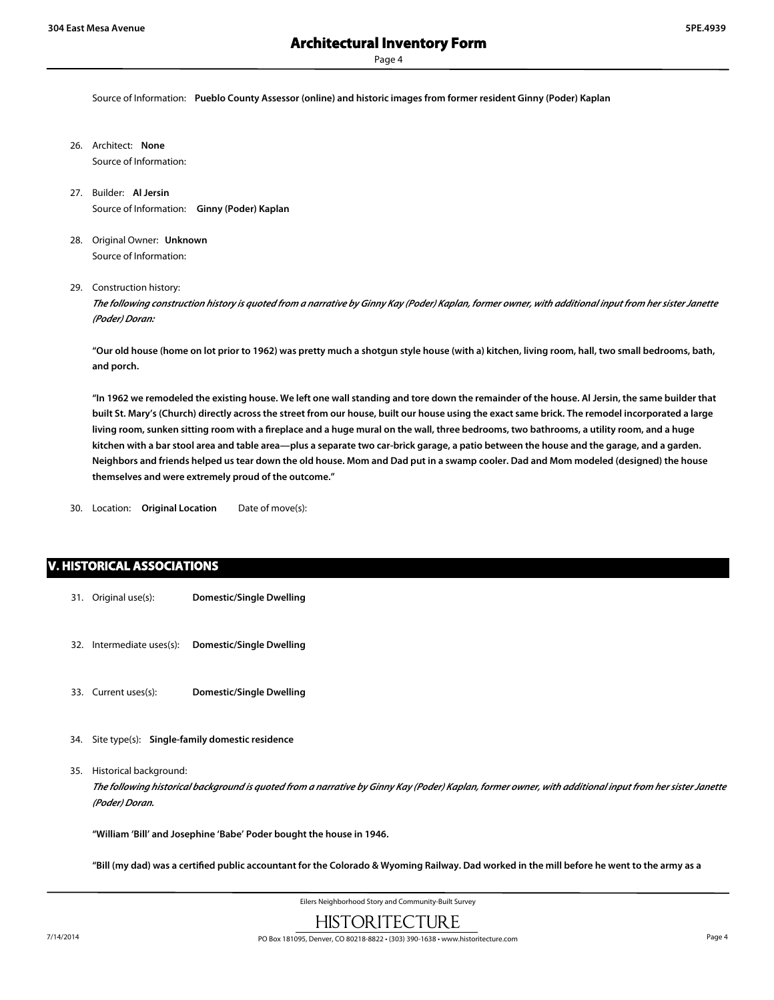Source of Information: **Pueblo County Assessor (online) and historic images from former resident Ginny (Poder) Kaplan**

- 26. Architect: **None** Source of Information:
- 27. Builder: **Al Jersin** Source of Information: **Ginny (Poder) Kaplan**
- 28. Original Owner: **Unknown** Source of Information:
- 29. Construction history:

*The following construction history is quoted from a narrative by Ginny Kay (Poder) Kaplan, former owner, with additional input from her sister Janette (Poder) Doran:*

**"Our old house (home on lot prior to 1962) was pretty much a shotgun style house (with a) kitchen, living room, hall, two small bedrooms, bath, and porch.**

**"In 1962 we remodeled the existing house. We left one wall standing and tore down the remainder of the house. Al Jersin, the same builder that built St. Mary's (Church) directly across the street from our house, built our house using the exact same brick. The remodel incorporated a large living room, sunken sitting room with a fireplace and a huge mural on the wall, three bedrooms, two bathrooms, a utility room, and a huge kitchen with a bar stool area and table area—plus a separate two car-brick garage, a patio between the house and the garage, and a garden. Neighbors and friends helped us tear down the old house. Mom and Dad put in a swamp cooler. Dad and Mom modeled (designed) the house themselves and were extremely proud of the outcome."**

30. Location: **Original Location** Date of move(s):

#### **V. HISTORICAL ASSOCIATIONS**

- 31. Original use(s): **Domestic/Single Dwelling**
- 32. Intermediate uses(s): **Domestic/Single Dwelling**
- 33. Current uses(s): **Domestic/Single Dwelling**
- 34. Site type(s): **Single-family domestic residence**
- 35. Historical background:

*The following historical background is quoted from a narrative by Ginny Kay (Poder) Kaplan, former owner, with additional input from her sister Janette (Poder) Doran.*

**"William 'Bill' and Josephine 'Babe' Poder bought the house in 1946.**

**"Bill (my dad) was a certified public accountant for the Colorado & Wyoming Railway. Dad worked in the mill before he went to the army as a**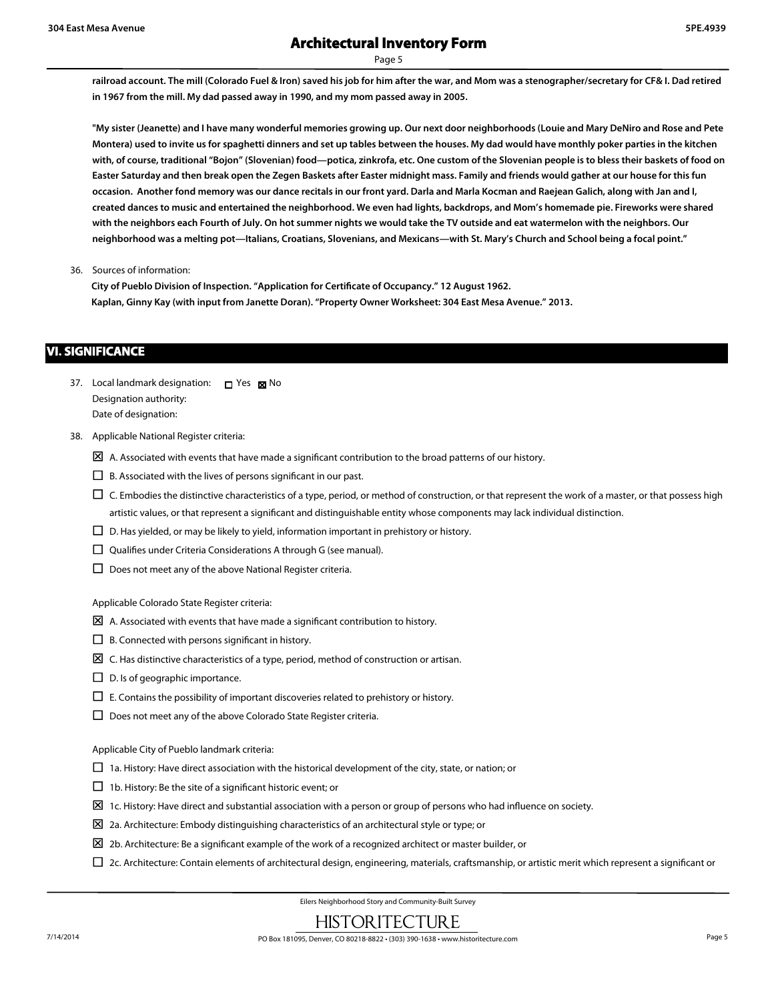**railroad account. The mill (Colorado Fuel & Iron) saved his job for him after the war, and Mom was a stenographer/secretary for CF& I. Dad retired in 1967 from the mill. My dad passed away in 1990, and my mom passed away in 2005.**

**"My sister (Jeanette) and I have many wonderful memories growing up. Our next door neighborhoods (Louie and Mary DeNiro and Rose and Pete Montera) used to invite us for spaghetti dinners and set up tables between the houses. My dad would have monthly poker parties in the kitchen with, of course, traditional "Bojon" (Slovenian) food—potica, zinkrofa, etc. One custom of the Slovenian people is to bless their baskets of food on Easter Saturday and then break open the Zegen Baskets after Easter midnight mass. Family and friends would gather at our house for this fun occasion. Another fond memory was our dance recitals in our front yard. Darla and Marla Kocman and Raejean Galich, along with Jan and I, created dances to music and entertained the neighborhood. We even had lights, backdrops, and Mom's homemade pie. Fireworks were shared with the neighbors each Fourth of July. On hot summer nights we would take the TV outside and eat watermelon with the neighbors. Our neighborhood was a melting pot—Italians, Croatians, Slovenians, and Mexicans—with St. Mary's Church and School being a focal point."**

36. Sources of information:

**City of Pueblo Division of Inspection. "Application for Certificate of Occupancy." 12 August 1962. Kaplan, Ginny Kay (with input from Janette Doran). "Property Owner Worksheet: 304 East Mesa Avenue." 2013.**

#### **VI. SIGNIFICANCE**

- 37. Local landmark designation:  $\Box$  Yes  $\boxtimes$  No Designation authority: Date of designation:
- 38. Applicable National Register criteria:
	- $\boxtimes$  A. Associated with events that have made a significant contribution to the broad patterns of our history.
	- $\Box$  B. Associated with the lives of persons significant in our past.
	- $\square$  C. Embodies the distinctive characteristics of a type, period, or method of construction, or that represent the work of a master, or that possess high artistic values, or that represent a significant and distinguishable entity whose components may lack individual distinction.
	- $\Box$  D. Has yielded, or may be likely to yield, information important in prehistory or history.
	- $\square$  Qualifies under Criteria Considerations A through G (see manual).
	- $\square$  Does not meet any of the above National Register criteria.

Applicable Colorado State Register criteria:

- $\boxtimes$  A. Associated with events that have made a significant contribution to history.
- $\square$  B. Connected with persons significant in history.
- $\boxtimes$  C. Has distinctive characteristics of a type, period, method of construction or artisan.
- $\square$  D. Is of geographic importance.
- $\square$  E. Contains the possibility of important discoveries related to prehistory or history.
- $\square$  Does not meet any of the above Colorado State Register criteria.

Applicable City of Pueblo landmark criteria:

- $\Box$  1a. History: Have direct association with the historical development of the city, state, or nation; or
- $\Box$  1b. History: Be the site of a significant historic event; or
- $\Sigma$  1c. History: Have direct and substantial association with a person or group of persons who had influence on society.
- $\boxtimes$  2a. Architecture: Embody distinguishing characteristics of an architectural style or type; or
- $\boxtimes$  2b. Architecture: Be a significant example of the work of a recognized architect or master builder, or
- $\Box$  2c. Architecture: Contain elements of architectural design, engineering, materials, craftsmanship, or artistic merit which represent a significant or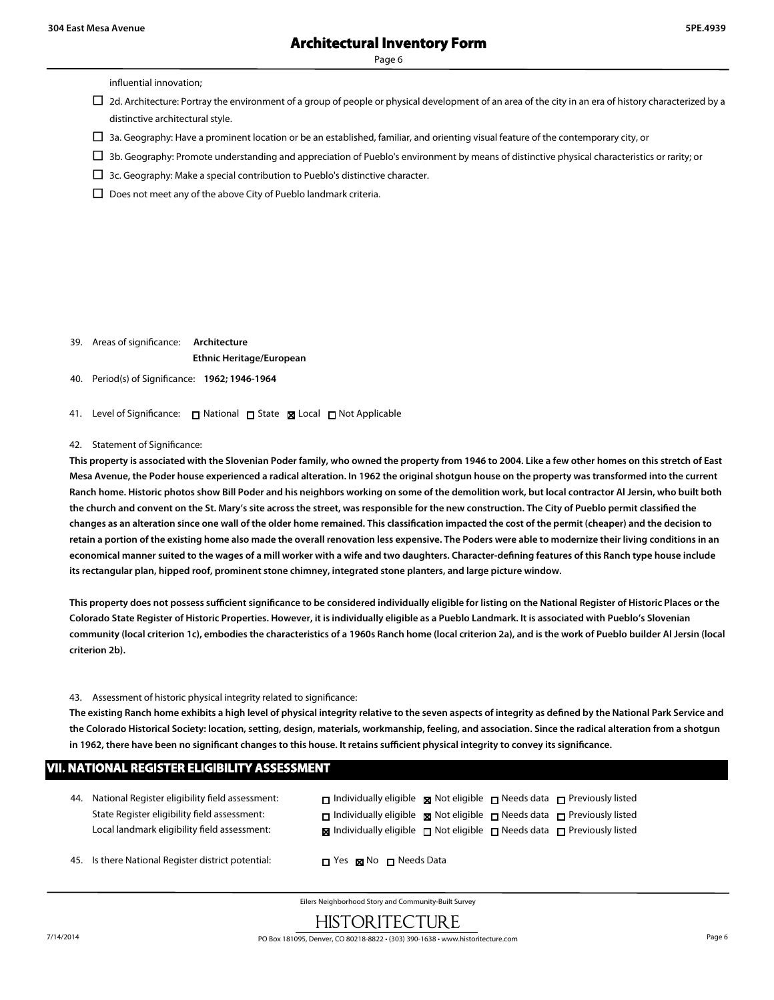influential innovation;

- $\Box$  2d. Architecture: Portray the environment of a group of people or physical development of an area of the city in an era of history characterized by a distinctive architectural style.
- $\Box$  3a. Geography: Have a prominent location or be an established, familiar, and orienting visual feature of the contemporary city, or
- $\Box$  3b. Geography: Promote understanding and appreciation of Pueblo's environment by means of distinctive physical characteristics or rarity; or
- $\Box$  3c. Geography: Make a special contribution to Pueblo's distinctive character.
- $\square$  Does not meet any of the above City of Pueblo landmark criteria.

- 39. Areas of significance: **Architecture Ethnic Heritage/European**
- 40. Period(s) of Significance: **1962; 1946-1964**
- 41. Level of Significance: □ National □ State Local □ Not Applicable

#### 42. Statement of Significance:

**This property is associated with the Slovenian Poder family, who owned the property from 1946 to 2004. Like a few other homes on this stretch of East Mesa Avenue, the Poder house experienced a radical alteration. In 1962 the original shotgun house on the property was transformed into the current Ranch home. Historic photos show Bill Poder and his neighbors working on some of the demolition work, but local contractor Al Jersin, who built both the church and convent on the St. Mary's site across the street, was responsible for the new construction. The City of Pueblo permit classified the changes as an alteration since one wall of the older home remained. This classification impacted the cost of the permit (cheaper) and the decision to retain a portion of the existing home also made the overall renovation less expensive. The Poders were able to modernize their living conditions in an economical manner suited to the wages of a mill worker with a wife and two daughters. Character-defining features of this Ranch type house include its rectangular plan, hipped roof, prominent stone chimney, integrated stone planters, and large picture window.**

**This property does not possess sufficient significance to be considered individually eligible for listing on the National Register of Historic Places or the Colorado State Register of Historic Properties. However, it is individually eligible as a Pueblo Landmark. It is associated with Pueblo's Slovenian community (local criterion 1c), embodies the characteristics of a 1960s Ranch home (local criterion 2a), and is the work of Pueblo builder Al Jersin (local criterion 2b).**

#### 43. Assessment of historic physical integrity related to significance:

**The existing Ranch home exhibits a high level of physical integrity relative to the seven aspects of integrity as defined by the National Park Service and the Colorado Historical Society: location, setting, design, materials, workmanship, feeling, and association. Since the radical alteration from a shotgun in 1962, there have been no significant changes to this house. It retains sufficient physical integrity to convey its significance.**

| <b>VII. NATIONAL REGISTER ELIGIBILITY ASSESSMENT</b> |                                                                                                                                                     |                                                                                                                                                                                                                                                                              |  |  |
|------------------------------------------------------|-----------------------------------------------------------------------------------------------------------------------------------------------------|------------------------------------------------------------------------------------------------------------------------------------------------------------------------------------------------------------------------------------------------------------------------------|--|--|
|                                                      | 44. National Register eligibility field assessment:<br>State Register eligibility field assessment:<br>Local landmark eligibility field assessment: | $\Box$ Individually eligible $\Box$ Not eligible $\Box$ Needs data $\Box$ Previously listed<br>$\Box$ Individually eligible $\Box$ Not eligible $\Box$ Needs data $\Box$ Previously listed<br><b>x</b> Individually eligible □ Not eligible □ Needs data □ Previously listed |  |  |
|                                                      | 45. Is there National Register district potential:                                                                                                  | $\Box$ Yes $\boxtimes$ No $\Box$ Needs Data                                                                                                                                                                                                                                  |  |  |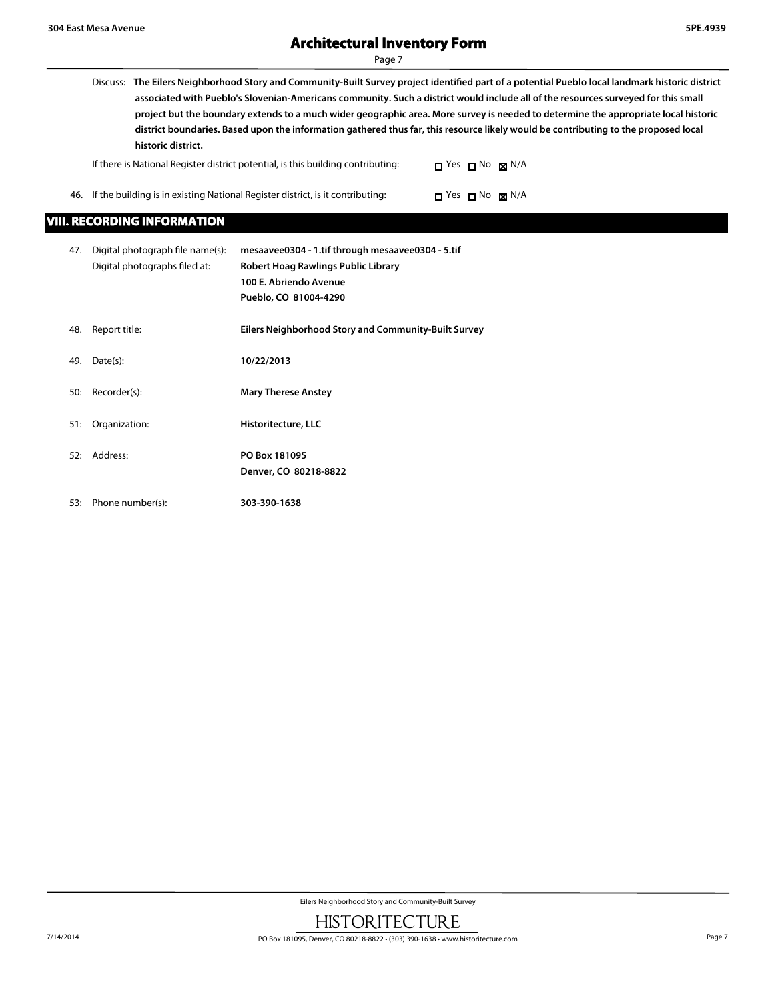# **Architectural Inventory Form**

Page 7

- 
- Discuss: **The Eilers Neighborhood Story and Community-Built Survey project identified part of a potential Pueblo local landmark historic district associated with Pueblo's Slovenian-Americans community. Such a district would include all of the resources surveyed for this small project but the boundary extends to a much wider geographic area. More survey is needed to determine the appropriate local historic district boundaries. Based upon the information gathered thus far, this resource likely would be contributing to the proposed local historic district.**

| If there is National Register district potential, is this building contributing:   | $\Box$ Yes $\Box$ No $\boxtimes$ N/A |  |
|------------------------------------------------------------------------------------|--------------------------------------|--|
| 46. If the building is in existing National Register district, is it contributing: | $\Box$ Yes $\Box$ No box N/A         |  |

### **VIII. RECORDING INFORMATION**

| 47. | Digital photograph file name(s): | mesaavee0304 - 1.tif through mesaavee0304 - 5.tif           |
|-----|----------------------------------|-------------------------------------------------------------|
|     | Digital photographs filed at:    | Robert Hoag Rawlings Public Library                         |
|     |                                  | 100 E. Abriendo Avenue                                      |
|     |                                  | Pueblo, CO 81004-4290                                       |
|     |                                  |                                                             |
| 48. | Report title:                    | <b>Eilers Neighborhood Story and Community-Built Survey</b> |
| 49. | Date(s):                         | 10/22/2013                                                  |
|     |                                  |                                                             |
| 50: | Recorder(s):                     | <b>Mary Therese Anstey</b>                                  |
|     |                                  |                                                             |
| 51: | Organization:                    | Historitecture, LLC                                         |
| 52: | Address:                         | PO Box 181095                                               |
|     |                                  | Denver, CO 80218-8822                                       |
|     |                                  |                                                             |
| 53: | Phone number(s):                 | 303-390-1638                                                |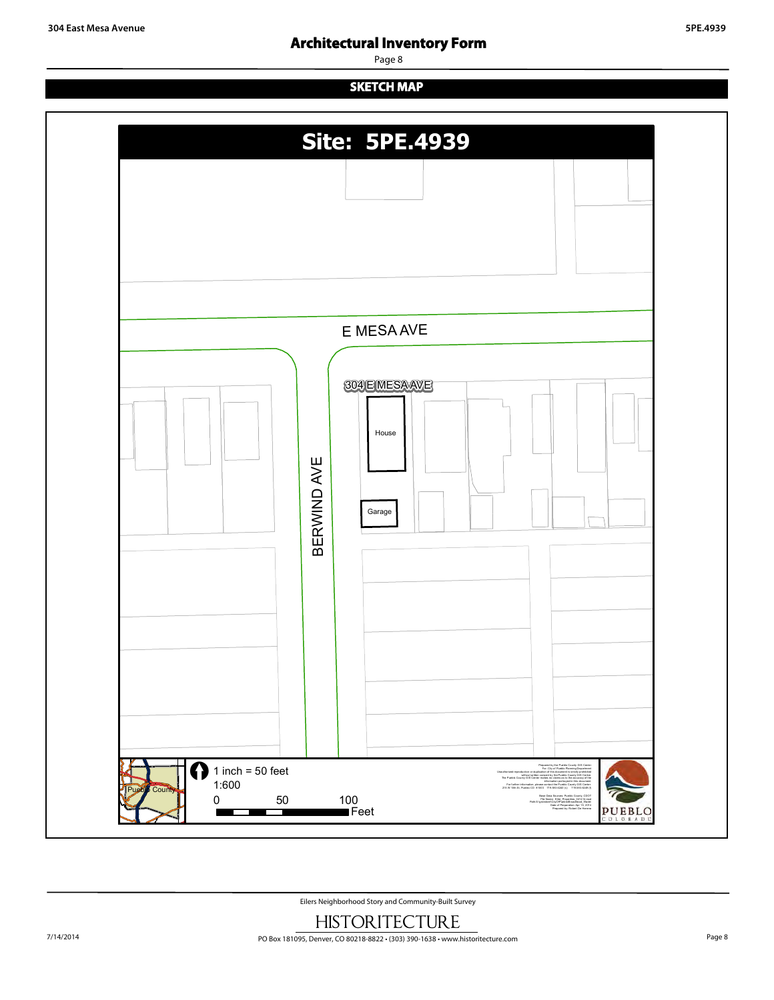## **Architectural Inventory Form**

Page 8

## **SKETCH MAP**